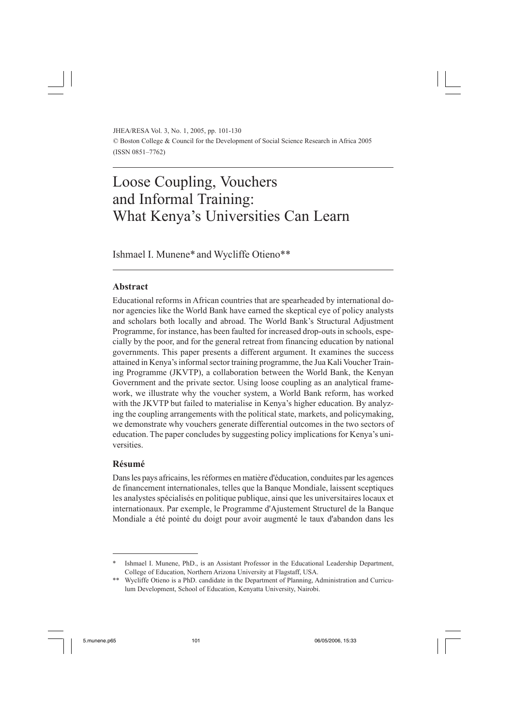JHEA/RESA Vol. 3, No. 1, 2005, pp. 101-130 © Boston College & Council for the Development of Social Science Research in Africa 2005 (ISSN 0851–7762)

# Loose Coupling, Vouchers and Informal Training: What Kenya's Universities Can Learn

Ishmael I. Munene\* and Wycliffe Otieno\*\*

## **Abstract**

Educational reforms in African countries that are spearheaded by international donor agencies like the World Bank have earned the skeptical eye of policy analysts and scholars both locally and abroad. The World Bank's Structural Adjustment Programme, for instance, has been faulted for increased drop-outs in schools, especially by the poor, and for the general retreat from financing education by national governments. This paper presents a different argument. It examines the success attained in Kenya's informal sector training programme, the Jua Kali Voucher Training Programme (JKVTP), a collaboration between the World Bank, the Kenyan Government and the private sector. Using loose coupling as an analytical framework, we illustrate why the voucher system, a World Bank reform, has worked with the JKVTP but failed to materialise in Kenya's higher education. By analyzing the coupling arrangements with the political state, markets, and policymaking, we demonstrate why vouchers generate differential outcomes in the two sectors of education. The paper concludes by suggesting policy implications for Kenya's universities.

#### **Résumé**

Dans les pays africains, les réformes en matière d'éducation, conduites par les agences de financement internationales, telles que la Banque Mondiale, laissent sceptiques les analystes spécialisés en politique publique, ainsi que les universitaires locaux et internationaux. Par exemple, le Programme d'Ajustement Structurel de la Banque Mondiale a été pointé du doigt pour avoir augmenté le taux d'abandon dans les

<sup>\*</sup> Ishmael I. Munene, PhD., is an Assistant Professor in the Educational Leadership Department, College of Education, Northern Arizona University at Flagstaff, USA.

<sup>\*\*</sup> Wycliffe Otieno is a PhD. candidate in the Department of Planning, Administration and Curriculum Development, School of Education, Kenyatta University, Nairobi.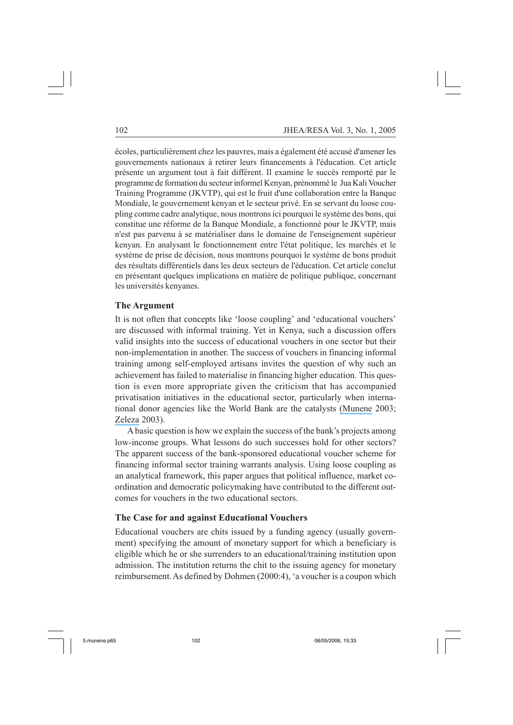écoles, particulièrement chez les pauvres, mais a également été accusé d'amener les gouvernements nationaux à retirer leurs financements à l'éducation. Cet article présente un argument tout à fait différent. Il examine le succès remporté par le programme de formation du secteur informel Kenyan, prénommé le Jua Kali Voucher Training Programme (JKVTP), qui est le fruit d'une collaboration entre la Banque Mondiale, le gouvernement kenyan et le secteur privé. En se servant du loose coupling comme cadre analytique, nous montrons ici pourquoi le système des bons, qui constitue une réforme de la Banque Mondiale, a fonctionné pour le JKVTP, mais n'est pas parvenu à se matérialiser dans le domaine de l'enseignement supérieur kenyan. En analysant le fonctionnement entre l'état politique, les marchés et le système de prise de décision, nous montrons pourquoi le système de bons produit des résultats différentiels dans les deux secteurs de l'éducation. Cet article conclut en présentant quelques implications en matière de politique publique, concernant les universités kenyanes.

## **The Argument**

It is not often that concepts like 'loose coupling' and 'educational vouchers' are discussed with informal training. Yet in Kenya, such a discussion offers valid insights into the success of educational vouchers in one sector but their non-implementation in another. The success of vouchers in financing informal training among self-employed artisans invites the question of why such an achievement has failed to materialise in financing higher education. This question is even more appropriate given the criticism that has accompanied privatisation initiatives in the educational sector, particularly when international donor agencies like the World Bank are the catalysts [\(Munene](https://www.researchgate.net/publication/254383574_Academic_Freedom_in_the_Neo-Liberal_Order_Governments_Globalization_Governance_and_Gender?el=1_x_8&enrichId=rgreq-d593ec8a-99b5-4638-b08b-fd987663eb77&enrichSource=Y292ZXJQYWdlOzI0MTc1NzA2NTtBUzoyODk4ODc3NDkxOTc4MjZAMTQ0NjEyNjAzMzk0MA==) 2003; [Zeleza](https://www.researchgate.net/publication/254383574_Academic_Freedom_in_the_Neo-Liberal_Order_Governments_Globalization_Governance_and_Gender?el=1_x_8&enrichId=rgreq-d593ec8a-99b5-4638-b08b-fd987663eb77&enrichSource=Y292ZXJQYWdlOzI0MTc1NzA2NTtBUzoyODk4ODc3NDkxOTc4MjZAMTQ0NjEyNjAzMzk0MA==) 2003).

A basic question is how we explain the success of the bank's projects among low-income groups. What lessons do such successes hold for other sectors? The apparent success of the bank-sponsored educational voucher scheme for financing informal sector training warrants analysis. Using loose coupling as an analytical framework, this paper argues that political influence, market coordination and democratic policymaking have contributed to the different outcomes for vouchers in the two educational sectors.

## **The Case for and against Educational Vouchers**

Educational vouchers are chits issued by a funding agency (usually government) specifying the amount of monetary support for which a beneficiary is eligible which he or she surrenders to an educational/training institution upon admission. The institution returns the chit to the issuing agency for monetary reimbursement. As defined by Dohmen (2000:4), 'a voucher is a coupon which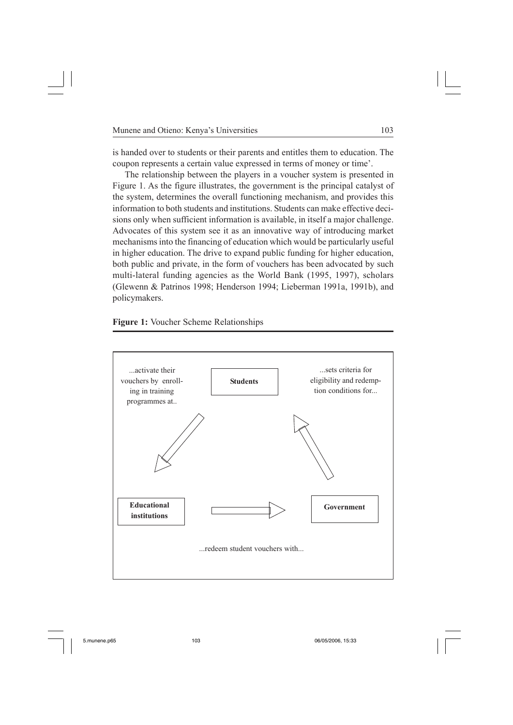is handed over to students or their parents and entitles them to education. The coupon represents a certain value expressed in terms of money or time'.

The relationship between the players in a voucher system is presented in Figure 1. As the figure illustrates, the government is the principal catalyst of the system, determines the overall functioning mechanism, and provides this information to both students and institutions. Students can make effective decisions only when sufficient information is available, in itself a major challenge. Advocates of this system see it as an innovative way of introducing market mechanisms into the financing of education which would be particularly useful in higher education. The drive to expand public funding for higher education, both public and private, in the form of vouchers has been advocated by such multi-lateral funding agencies as the World Bank (1995, 1997), scholars (Glewenn & Patrinos 1998; Henderson 1994; Lieberman 1991a, 1991b), and policymakers.

**Figure 1:** Voucher Scheme Relationships

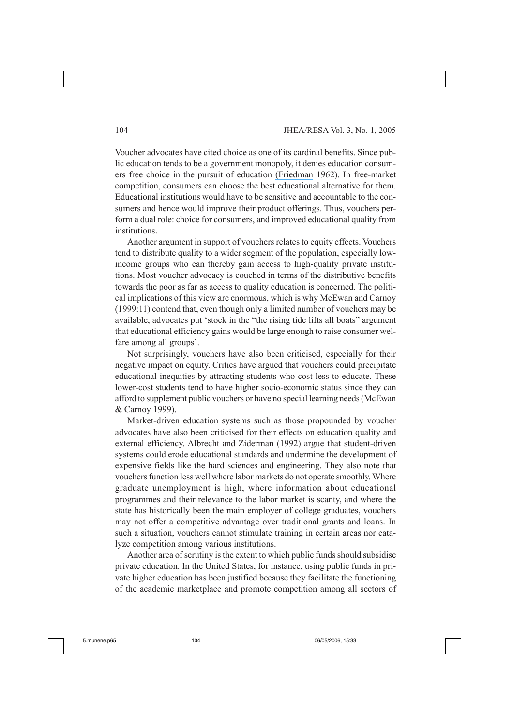Voucher advocates have cited choice as one of its cardinal benefits. Since public education tends to be a government monopoly, it denies education consumers free choice in the pursuit of education [\(Friedman](https://www.researchgate.net/publication/247982410_The_Role_of_Government_in_Education?el=1_x_8&enrichId=rgreq-d593ec8a-99b5-4638-b08b-fd987663eb77&enrichSource=Y292ZXJQYWdlOzI0MTc1NzA2NTtBUzoyODk4ODc3NDkxOTc4MjZAMTQ0NjEyNjAzMzk0MA==) 1962). In free-market competition, consumers can choose the best educational alternative for them. Educational institutions would have to be sensitive and accountable to the consumers and hence would improve their product offerings. Thus, vouchers perform a dual role: choice for consumers, and improved educational quality from institutions.

Another argument in support of vouchers relates to equity effects. Vouchers tend to distribute quality to a wider segment of the population, especially lowincome groups who can thereby gain access to high-quality private institutions. Most voucher advocacy is couched in terms of the distributive benefits towards the poor as far as access to quality education is concerned. The political implications of this view are enormous, which is why McEwan and Carnoy (1999:11) contend that, even though only a limited number of vouchers may be available, advocates put 'stock in the "the rising tide lifts all boats" argument that educational efficiency gains would be large enough to raise consumer welfare among all groups'.

Not surprisingly, vouchers have also been criticised, especially for their negative impact on equity. Critics have argued that vouchers could precipitate educational inequities by attracting students who cost less to educate. These lower-cost students tend to have higher socio-economic status since they can afford to supplement public vouchers or have no special learning needs (McEwan & Carnoy 1999).

Market-driven education systems such as those propounded by voucher advocates have also been criticised for their effects on education quality and external efficiency. Albrecht and Ziderman (1992) argue that student-driven systems could erode educational standards and undermine the development of expensive fields like the hard sciences and engineering. They also note that vouchers function less well where labor markets do not operate smoothly. Where graduate unemployment is high, where information about educational programmes and their relevance to the labor market is scanty, and where the state has historically been the main employer of college graduates, vouchers may not offer a competitive advantage over traditional grants and loans. In such a situation, vouchers cannot stimulate training in certain areas nor catalyze competition among various institutions.

Another area of scrutiny is the extent to which public funds should subsidise private education. In the United States, for instance, using public funds in private higher education has been justified because they facilitate the functioning of the academic marketplace and promote competition among all sectors of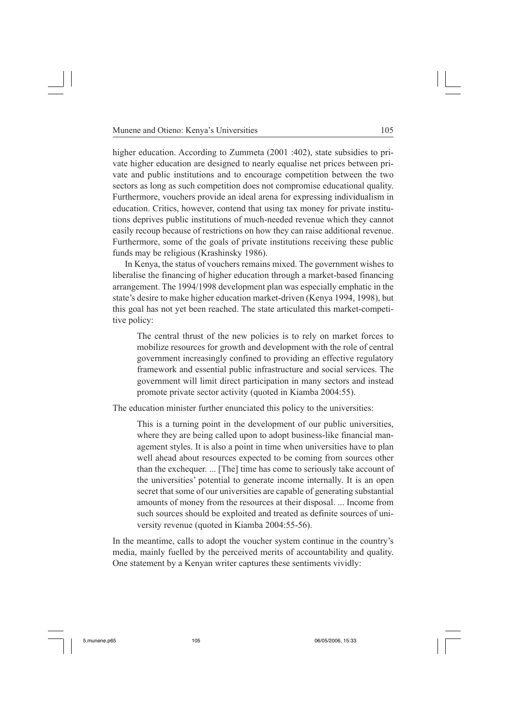higher education. According to Zummeta (2001 :402), state subsidies to private higher education are designed to nearly equalise net prices between private and public institutions and to encourage competition between the two sectors as long as such competition does not compromise educational quality. Furthermore, vouchers provide an ideal arena for expressing individualism in education. Critics, however, contend that using tax money for private institutions deprives public institutions of much-needed revenue which they cannot easily recoup because of restrictions on how they can raise additional revenue. Furthermore, some of the goals of private institutions receiving these public funds may be religious (Krashinsky 1986).

In Kenya, the status of vouchers remains mixed. The government wishes to liberalise the financing of higher education through a market-based financing arrangement. The 1994/1998 development plan was especially emphatic in the state's desire to make higher education market-driven (Kenya 1994, 1998), but this goal has not yet been reached. The state articulated this market-competitive policy:

The central thrust of the new policies is to rely on market forces to mobilize resources for growth and development with the role of central government increasingly confined to providing an effective regulatory framework and essential public infrastructure and social services. The government will limit direct participation in many sectors and instead promote private sector activity (quoted in Kiamba 2004:55).

The education minister further enunciated this policy to the universities:

This is a turning point in the development of our public universities, where they are being called upon to adopt business-like financial management styles. It is also a point in time when universities have to plan well ahead about resources expected to be coming from sources other than the exchequer. ... [The] time has come to seriously take account of the universities' potential to generate income internally. It is an open secret that some of our universities are capable of generating substantial amounts of money from the resources at their disposal. ... Income from such sources should be exploited and treated as definite sources of university revenue (quoted in Kiamba 2004:55-56).

In the meantime, calls to adopt the voucher system continue in the country's media, mainly fuelled by the perceived merits of accountability and quality. One statement by a Kenyan writer captures these sentiments vividly: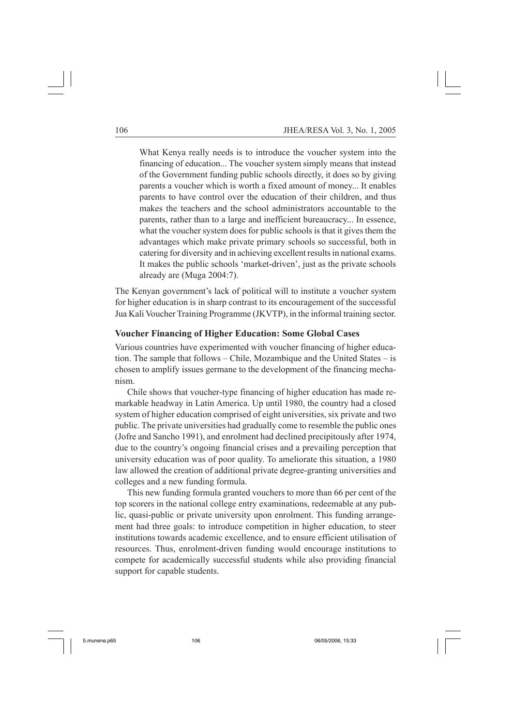What Kenya really needs is to introduce the voucher system into the financing of education... The voucher system simply means that instead of the Government funding public schools directly, it does so by giving parents a voucher which is worth a fixed amount of money... It enables parents to have control over the education of their children, and thus makes the teachers and the school administrators accountable to the parents, rather than to a large and inefficient bureaucracy... In essence, what the voucher system does for public schools is that it gives them the advantages which make private primary schools so successful, both in catering for diversity and in achieving excellent results in national exams. It makes the public schools 'market-driven', just as the private schools already are (Muga 2004:7).

The Kenyan government's lack of political will to institute a voucher system for higher education is in sharp contrast to its encouragement of the successful Jua Kali Voucher Training Programme (JKVTP), in the informal training sector.

## **Voucher Financing of Higher Education: Some Global Cases**

Various countries have experimented with voucher financing of higher education. The sample that follows – Chile, Mozambique and the United States – is chosen to amplify issues germane to the development of the financing mechanism.

Chile shows that voucher-type financing of higher education has made remarkable headway in Latin America. Up until 1980, the country had a closed system of higher education comprised of eight universities, six private and two public. The private universities had gradually come to resemble the public ones (Jofre and Sancho 1991), and enrolment had declined precipitously after 1974, due to the country's ongoing financial crises and a prevailing perception that university education was of poor quality. To ameliorate this situation, a 1980 law allowed the creation of additional private degree-granting universities and colleges and a new funding formula.

This new funding formula granted vouchers to more than 66 per cent of the top scorers in the national college entry examinations, redeemable at any public, quasi-public or private university upon enrolment. This funding arrangement had three goals: to introduce competition in higher education, to steer institutions towards academic excellence, and to ensure efficient utilisation of resources. Thus, enrolment-driven funding would encourage institutions to compete for academically successful students while also providing financial support for capable students.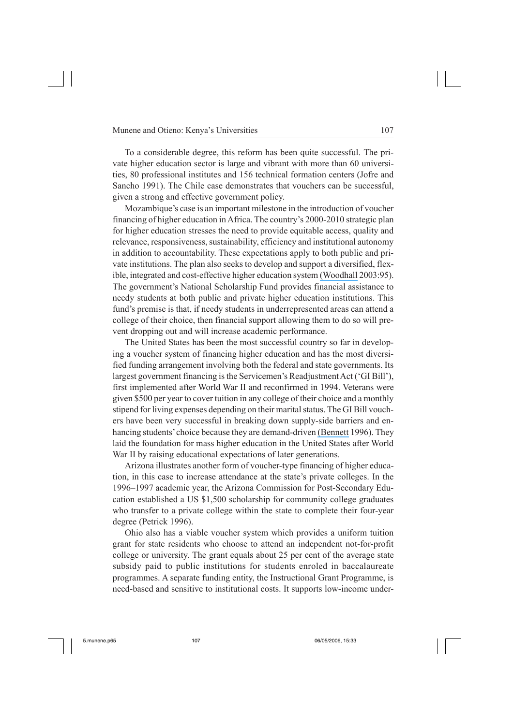To a considerable degree, this reform has been quite successful. The private higher education sector is large and vibrant with more than 60 universities, 80 professional institutes and 156 technical formation centers (Jofre and Sancho 1991). The Chile case demonstrates that vouchers can be successful, given a strong and effective government policy.

Mozambique's case is an important milestone in the introduction of voucher financing of higher education in Africa. The country's 2000-2010 strategic plan for higher education stresses the need to provide equitable access, quality and relevance, responsiveness, sustainability, efficiency and institutional autonomy in addition to accountability. These expectations apply to both public and private institutions. The plan also seeks to develop and support a diversified, flexible, integrated and cost-effective higher education system [\(Woodhall](https://www.researchgate.net/publication/265579547_Financing_Higher_Education_Old_Challenges_and_New_Messages?el=1_x_8&enrichId=rgreq-d593ec8a-99b5-4638-b08b-fd987663eb77&enrichSource=Y292ZXJQYWdlOzI0MTc1NzA2NTtBUzoyODk4ODc3NDkxOTc4MjZAMTQ0NjEyNjAzMzk0MA==) 2003:95). The government's National Scholarship Fund provides financial assistance to needy students at both public and private higher education institutions. This fund's premise is that, if needy students in underrepresented areas can attend a college of their choice, then financial support allowing them to do so will prevent dropping out and will increase academic performance.

The United States has been the most successful country so far in developing a voucher system of financing higher education and has the most diversified funding arrangement involving both the federal and state governments. Its largest government financing is the Servicemen's Readjustment Act ('GI Bill'), first implemented after World War II and reconfirmed in 1994. Veterans were given \$500 per year to cover tuition in any college of their choice and a monthly stipend for living expenses depending on their marital status. The GI Bill vouchers have been very successful in breaking down supply-side barriers and enhancing students' choice because they are demand-driven [\(Bennett](https://www.researchgate.net/publication/234708794_When_Dreams_Came_True_The_GI_Bill_and_the_Making_of_Modern_America?el=1_x_8&enrichId=rgreq-d593ec8a-99b5-4638-b08b-fd987663eb77&enrichSource=Y292ZXJQYWdlOzI0MTc1NzA2NTtBUzoyODk4ODc3NDkxOTc4MjZAMTQ0NjEyNjAzMzk0MA==) 1996). They laid the foundation for mass higher education in the United States after World War II by raising educational expectations of later generations.

Arizona illustrates another form of voucher-type financing of higher education, in this case to increase attendance at the state's private colleges. In the 1996–1997 academic year, the Arizona Commission for Post-Secondary Education established a US \$1,500 scholarship for community college graduates who transfer to a private college within the state to complete their four-year degree (Petrick 1996).

Ohio also has a viable voucher system which provides a uniform tuition grant for state residents who choose to attend an independent not-for-profit college or university. The grant equals about 25 per cent of the average state subsidy paid to public institutions for students enroled in baccalaureate programmes. A separate funding entity, the Instructional Grant Programme, is need-based and sensitive to institutional costs. It supports low-income under-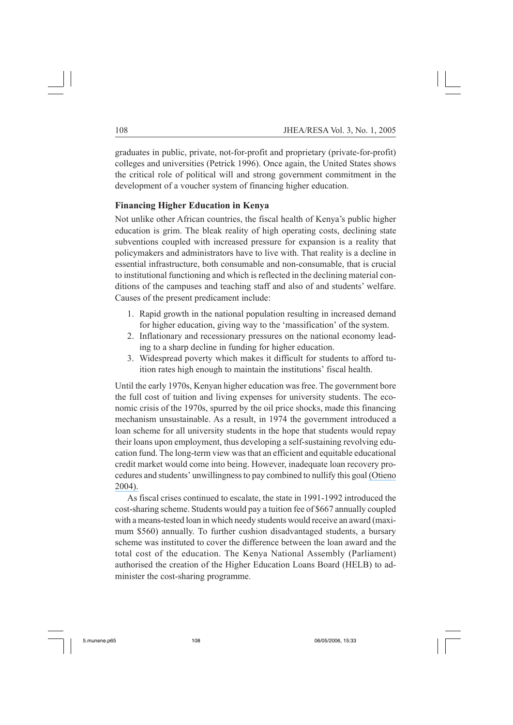graduates in public, private, not-for-profit and proprietary (private-for-profit) colleges and universities (Petrick 1996). Once again, the United States shows the critical role of political will and strong government commitment in the development of a voucher system of financing higher education.

## **Financing Higher Education in Kenya**

Not unlike other African countries, the fiscal health of Kenya's public higher education is grim. The bleak reality of high operating costs, declining state subventions coupled with increased pressure for expansion is a reality that policymakers and administrators have to live with. That reality is a decline in essential infrastructure, both consumable and non-consumable, that is crucial to institutional functioning and which is reflected in the declining material conditions of the campuses and teaching staff and also of and students' welfare. Causes of the present predicament include:

- 1. Rapid growth in the national population resulting in increased demand for higher education, giving way to the 'massification' of the system.
- 2. Inflationary and recessionary pressures on the national economy leading to a sharp decline in funding for higher education.
- 3. Widespread poverty which makes it difficult for students to afford tuition rates high enough to maintain the institutions' fiscal health.

Until the early 1970s, Kenyan higher education was free. The government bore the full cost of tuition and living expenses for university students. The economic crisis of the 1970s, spurred by the oil price shocks, made this financing mechanism unsustainable. As a result, in 1974 the government introduced a loan scheme for all university students in the hope that students would repay their loans upon employment, thus developing a self-sustaining revolving education fund. The long-term view was that an efficient and equitable educational credit market would come into being. However, inadequate loan recovery procedures and students' unwillingness to pay combined to nullify this goal [\(Otieno](https://www.researchgate.net/publication/240266739_Student_Loans_in_Kenya_Past_Experiences_Current_Hurdles_and_Opportunities_for_the_Future?el=1_x_8&enrichId=rgreq-d593ec8a-99b5-4638-b08b-fd987663eb77&enrichSource=Y292ZXJQYWdlOzI0MTc1NzA2NTtBUzoyODk4ODc3NDkxOTc4MjZAMTQ0NjEyNjAzMzk0MA==) [2004\).](https://www.researchgate.net/publication/240266739_Student_Loans_in_Kenya_Past_Experiences_Current_Hurdles_and_Opportunities_for_the_Future?el=1_x_8&enrichId=rgreq-d593ec8a-99b5-4638-b08b-fd987663eb77&enrichSource=Y292ZXJQYWdlOzI0MTc1NzA2NTtBUzoyODk4ODc3NDkxOTc4MjZAMTQ0NjEyNjAzMzk0MA==)

As fiscal crises continued to escalate, the state in 1991-1992 introduced the cost-sharing scheme. Students would pay a tuition fee of \$667 annually coupled with a means-tested loan in which needy students would receive an award (maximum \$560) annually. To further cushion disadvantaged students, a bursary scheme was instituted to cover the difference between the loan award and the total cost of the education. The Kenya National Assembly (Parliament) authorised the creation of the Higher Education Loans Board (HELB) to administer the cost-sharing programme.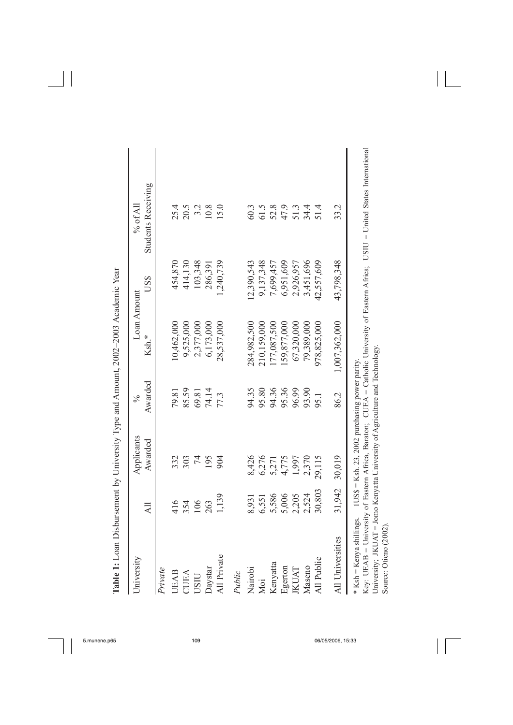| University                                        |                | Applicants                                     | $\frac{5}{6}$ | Loan Amount   |            | $\%$ of All                                                                                                                                                                                                     |  |
|---------------------------------------------------|----------------|------------------------------------------------|---------------|---------------|------------|-----------------------------------------------------------------------------------------------------------------------------------------------------------------------------------------------------------------|--|
|                                                   | $\overline{a}$ | Awarded                                        | Awarded       | Ksh.*         | US\$       | <b>Students Receiving</b>                                                                                                                                                                                       |  |
| Private                                           |                |                                                |               |               |            |                                                                                                                                                                                                                 |  |
| UEAB                                              | 416            | 332                                            | 79.81         | 10,462,000    | 454,870    | 25.4                                                                                                                                                                                                            |  |
| CUEA                                              | 354            | 303                                            | 85.59         | 9,525,000     | 414,130    | 20.5                                                                                                                                                                                                            |  |
| USIU                                              | 106            | 74                                             | 69.81         | 2,377,000     | 103,348    | $3.2$<br>10.8                                                                                                                                                                                                   |  |
|                                                   | 263            | 195                                            | 74.14         | 6,173,000     | 286,391    |                                                                                                                                                                                                                 |  |
| Daystar<br>All Private                            | 1,139          | 904                                            | 77.3          | 28,537,000    | 1,240,739  | 15.0                                                                                                                                                                                                            |  |
| Public                                            |                |                                                |               |               |            |                                                                                                                                                                                                                 |  |
| Nairobi                                           | 8,931          | 8,426                                          | 94.35         | 284,982,500   | 12,390,543 | 60.3                                                                                                                                                                                                            |  |
| Moi                                               | 6,551          | 6,276                                          | 95.80         | 210,159,000   | 9,137,348  | 61.5                                                                                                                                                                                                            |  |
| Kenyatta                                          | 5,586          | 5,271                                          | 94.36         | 177,087,500   | 7,699,457  | 52.8                                                                                                                                                                                                            |  |
| Egerton                                           |                | 4,775                                          | 95.36         | 159,877,000   | 6,951,609  | 47.9                                                                                                                                                                                                            |  |
| <b>IKUAT</b>                                      | 5,006<br>2,205 | 1,997                                          | 96.99         | 67,320,000    | 2,926,957  | 51.3                                                                                                                                                                                                            |  |
| Maseno                                            | 2,524          | 2,370                                          | 93.90         | 79,389,000    | 3,451,696  | 34.4                                                                                                                                                                                                            |  |
| All Public                                        | 30,803         | 29,115                                         | 95.1          | 978, 825, 000 | 42,557,609 | 51.4                                                                                                                                                                                                            |  |
| All Universities                                  |                | 31,942 30,019                                  | 86.2          | 1,007,362,000 | 43,798,348 | 33.2                                                                                                                                                                                                            |  |
| * Ksh = Kenya shillings.<br>Source: Otieno (2002) |                | 1US\$ = Ksh. 23, 2002 purchasing power parity. |               |               |            | Key: UEAB = University of Eastern Africa, Baraton; CUEA = Catholic University of Eastern Africa; USIU = United States International University; JKUAT = Jomo Kenyatta University of Agriculture and Technology. |  |

Table 1: Loan Disbursement by University Type and Amount, 2002–2003 Academic Year **Table 1:** Loan Disbursement by University Type and Amount, 2002–2003 Academic Year

 $\begin{array}{c} \hline \end{array}$ 

 $\sqrt{2}$ 

 $\overline{\phantom{0}}$ 

 $\frac{1}{2}$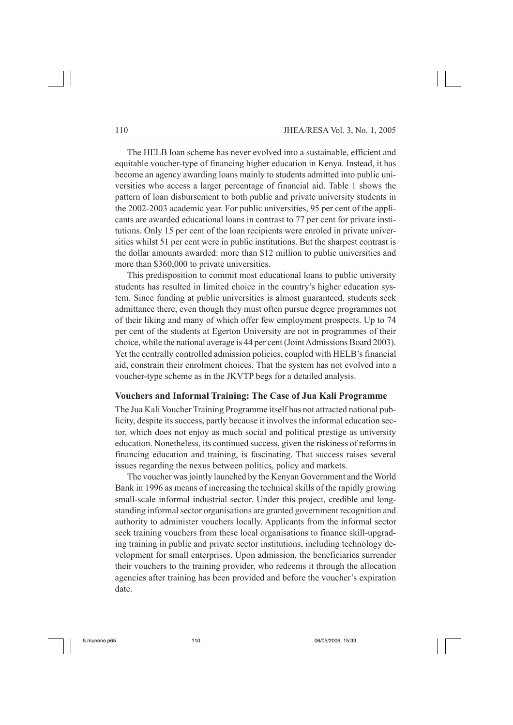The HELB loan scheme has never evolved into a sustainable, efficient and equitable voucher-type of financing higher education in Kenya. Instead, it has become an agency awarding loans mainly to students admitted into public universities who access a larger percentage of financial aid. Table 1 shows the pattern of loan disbursement to both public and private university students in the 2002-2003 academic year. For public universities, 95 per cent of the applicants are awarded educational loans in contrast to 77 per cent for private institutions. Only 15 per cent of the loan recipients were enroled in private universities whilst 51 per cent were in public institutions. But the sharpest contrast is the dollar amounts awarded: more than \$12 million to public universities and more than \$360,000 to private universities.

This predisposition to commit most educational loans to public university students has resulted in limited choice in the country's higher education system. Since funding at public universities is almost guaranteed, students seek admittance there, even though they must often pursue degree programmes not of their liking and many of which offer few employment prospects. Up to 74 per cent of the students at Egerton University are not in programmes of their choice, while the national average is 44 per cent (Joint Admissions Board 2003). Yet the centrally controlled admission policies, coupled with HELB's financial aid, constrain their enrolment choices. That the system has not evolved into a voucher-type scheme as in the JKVTP begs for a detailed analysis.

### **Vouchers and Informal Training: The Case of Jua Kali Programme**

The Jua Kali Voucher Training Programme itself has not attracted national publicity, despite its success, partly because it involves the informal education sector, which does not enjoy as much social and political prestige as university education. Nonetheless, its continued success, given the riskiness of reforms in financing education and training, is fascinating. That success raises several issues regarding the nexus between politics, policy and markets.

The voucher was jointly launched by the Kenyan Government and the World Bank in 1996 as means of increasing the technical skills of the rapidly growing small-scale informal industrial sector. Under this project, credible and longstanding informal sector organisations are granted government recognition and authority to administer vouchers locally. Applicants from the informal sector seek training vouchers from these local organisations to finance skill-upgrading training in public and private sector institutions, including technology development for small enterprises. Upon admission, the beneficiaries surrender their vouchers to the training provider, who redeems it through the allocation agencies after training has been provided and before the voucher's expiration date.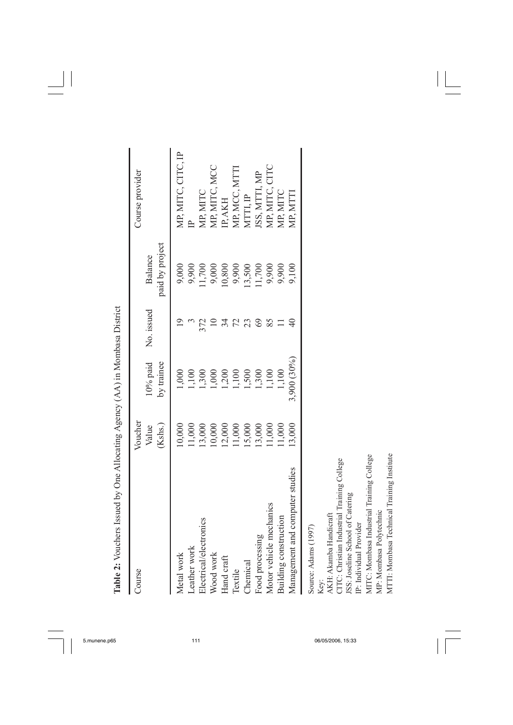| Advisor And Alexandria Crypt And Alexandria Andrew Andrew Alexandria Andrew Andrew Alexandria Andrew Andrew A |                  |                  |            |                 |                    |
|---------------------------------------------------------------------------------------------------------------|------------------|------------------|------------|-----------------|--------------------|
| Course                                                                                                        | Voucher<br>Value | $10%$ paid       | No. issued | Balance         | Course provider    |
|                                                                                                               | (Kshs.)          | by trainee       |            | paid by project |                    |
| Metal work                                                                                                    | 10,000           | 000              |            | 9,000           | MP, MITC, CITC, IP |
|                                                                                                               | 11,000           | 1,100            |            | 9,900           |                    |
| Leather work<br>Electrical/electronics                                                                        | 13,000           | 1,300            | 372        | 1,700           | MP, MITC           |
| Wood work                                                                                                     | 10,000           | 000 <sub>1</sub> |            | 9,000           | MP, MITC, MCC      |
| Hand craft                                                                                                    | 12,000           | 1,200            |            | 10,800          | IP, AKH            |
| Textile                                                                                                       | 11,000           | 1,100            |            | 9,900           | MP, MCC, MTT       |
| Chemical                                                                                                      | 15,000           | 1,500            |            | 13,500          | MTTI, IP           |
| Food processing                                                                                               | 13,000           | 1,300            |            | 1,700           | ISS, MTTI, MP      |
| Motor vehicle mechanics                                                                                       | 11,000           | 1,100            |            | 9,900           | MP, MITC, CITC     |
| Building construction                                                                                         | 11,000           | 1,100            |            | 9,900           | MP, MITC           |
| Management and computer studies                                                                               | 13,000           | 3,900 (30%)      |            | 9,100           | MP, MTTI           |
| Source: Adams (1997)                                                                                          |                  |                  |            |                 |                    |
| AKH: Akamba Handicraft<br>Key:                                                                                |                  |                  |            |                 |                    |
| CITC: Christian Industrial Training College                                                                   |                  |                  |            |                 |                    |
| JSS: Joseline School of Catering<br>IP: Individual Provider                                                   |                  |                  |            |                 |                    |
|                                                                                                               |                  |                  |            |                 |                    |

**Table 2:** Vouchers Issued by One Allocating Agency  $(AA)$  in Mombasa District **Table 2:** Vouchers Issued by One Allocating Agency (AA) in Mombasa District

 $\frac{1}{\sqrt{2\pi}}$ 

 $\frac{1}{2}$ 

5.munene.p65 111 06/05/2006, 15:33

MITC: Mombasa Industrial Training College

MITC: Mombasa Industrial Training College<br>MP: Mombasa Polytechnic MTTI: Mombasa Technical Training Institute

MP: Mombasa Polytechnic

MTTI: Mombasa Technical Training Institute

 $\sqrt{2}$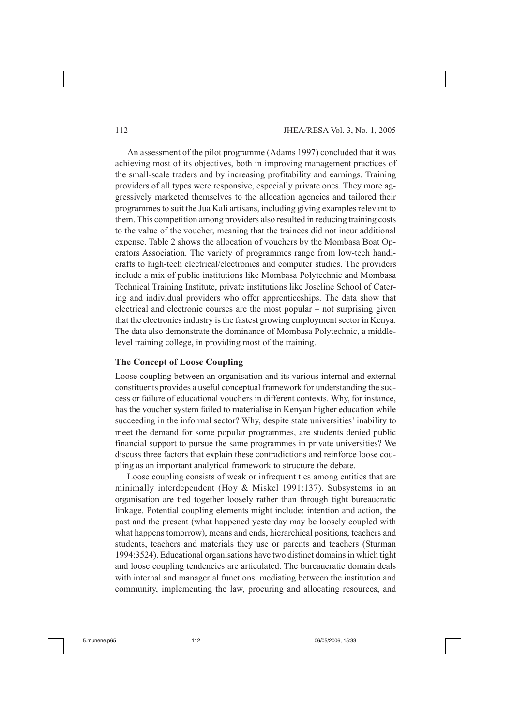An assessment of the pilot programme (Adams 1997) concluded that it was achieving most of its objectives, both in improving management practices of the small-scale traders and by increasing profitability and earnings. Training providers of all types were responsive, especially private ones. They more aggressively marketed themselves to the allocation agencies and tailored their programmes to suit the Jua Kali artisans, including giving examples relevant to them. This competition among providers also resulted in reducing training costs to the value of the voucher, meaning that the trainees did not incur additional expense. Table 2 shows the allocation of vouchers by the Mombasa Boat Operators Association. The variety of programmes range from low-tech handicrafts to high-tech electrical/electronics and computer studies. The providers include a mix of public institutions like Mombasa Polytechnic and Mombasa Technical Training Institute, private institutions like Joseline School of Catering and individual providers who offer apprenticeships. The data show that electrical and electronic courses are the most popular – not surprising given that the electronics industry is the fastest growing employment sector in Kenya. The data also demonstrate the dominance of Mombasa Polytechnic, a middlelevel training college, in providing most of the training.

## **The Concept of Loose Coupling**

Loose coupling between an organisation and its various internal and external constituents provides a useful conceptual framework for understanding the success or failure of educational vouchers in different contexts. Why, for instance, has the voucher system failed to materialise in Kenyan higher education while succeeding in the informal sector? Why, despite state universities' inability to meet the demand for some popular programmes, are students denied public financial support to pursue the same programmes in private universities? We discuss three factors that explain these contradictions and reinforce loose coupling as an important analytical framework to structure the debate.

Loose coupling consists of weak or infrequent ties among entities that are minimally interdependent [\(Hoy](https://www.researchgate.net/publication/44830003_Educational_Administration_Theory_Research_and_Practice?el=1_x_8&enrichId=rgreq-d593ec8a-99b5-4638-b08b-fd987663eb77&enrichSource=Y292ZXJQYWdlOzI0MTc1NzA2NTtBUzoyODk4ODc3NDkxOTc4MjZAMTQ0NjEyNjAzMzk0MA==) & Miskel 1991:137). Subsystems in an organisation are tied together loosely rather than through tight bureaucratic linkage. Potential coupling elements might include: intention and action, the past and the present (what happened yesterday may be loosely coupled with what happens tomorrow), means and ends, hierarchical positions, teachers and students, teachers and materials they use or parents and teachers (Sturman 1994:3524). Educational organisations have two distinct domains in which tight and loose coupling tendencies are articulated. The bureaucratic domain deals with internal and managerial functions: mediating between the institution and community, implementing the law, procuring and allocating resources, and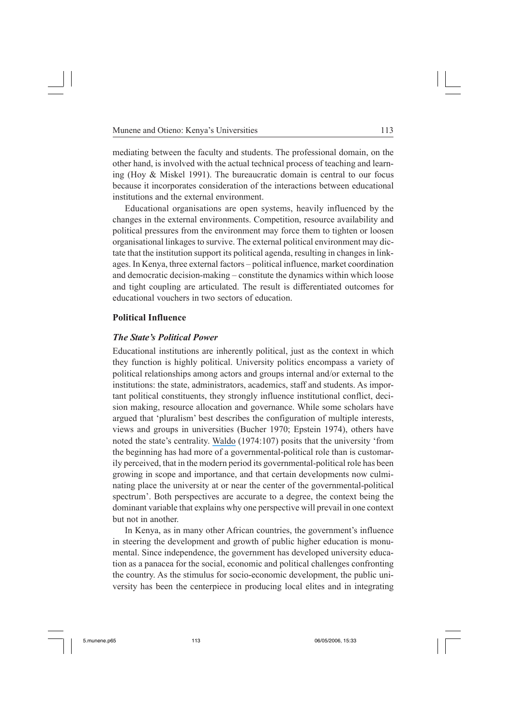mediating between the faculty and students. The professional domain, on the other hand, is involved with the actual technical process of teaching and learning (Hoy & Miskel 1991). The bureaucratic domain is central to our focus because it incorporates consideration of the interactions between educational institutions and the external environment.

Educational organisations are open systems, heavily influenced by the changes in the external environments. Competition, resource availability and political pressures from the environment may force them to tighten or loosen organisational linkages to survive. The external political environment may dictate that the institution support its political agenda, resulting in changes in linkages. In Kenya, three external factors – political influence, market coordination and democratic decision-making – constitute the dynamics within which loose and tight coupling are articulated. The result is differentiated outcomes for educational vouchers in two sectors of education.

# **Political Influence**

# *The State's Political Power*

Educational institutions are inherently political, just as the context in which they function is highly political. University politics encompass a variety of political relationships among actors and groups internal and/or external to the institutions: the state, administrators, academics, staff and students. As important political constituents, they strongly influence institutional conflict, decision making, resource allocation and governance. While some scholars have argued that 'pluralism' best describes the configuration of multiple interests, views and groups in universities (Bucher 1970; Epstein 1974), others have noted the state's centrality. [Waldo](https://www.researchgate.net/publication/274848651_The_University_in_Relation_to_the_Government-Political?el=1_x_8&enrichId=rgreq-d593ec8a-99b5-4638-b08b-fd987663eb77&enrichSource=Y292ZXJQYWdlOzI0MTc1NzA2NTtBUzoyODk4ODc3NDkxOTc4MjZAMTQ0NjEyNjAzMzk0MA==) (1974:107) posits that the university 'from the beginning has had more of a governmental-political role than is customarily perceived, that in the modern period its governmental-political role has been growing in scope and importance, and that certain developments now culminating place the university at or near the center of the governmental-political spectrum'. Both perspectives are accurate to a degree, the context being the dominant variable that explains why one perspective will prevail in one context but not in another.

In Kenya, as in many other African countries, the government's influence in steering the development and growth of public higher education is monumental. Since independence, the government has developed university education as a panacea for the social, economic and political challenges confronting the country. As the stimulus for socio-economic development, the public university has been the centerpiece in producing local elites and in integrating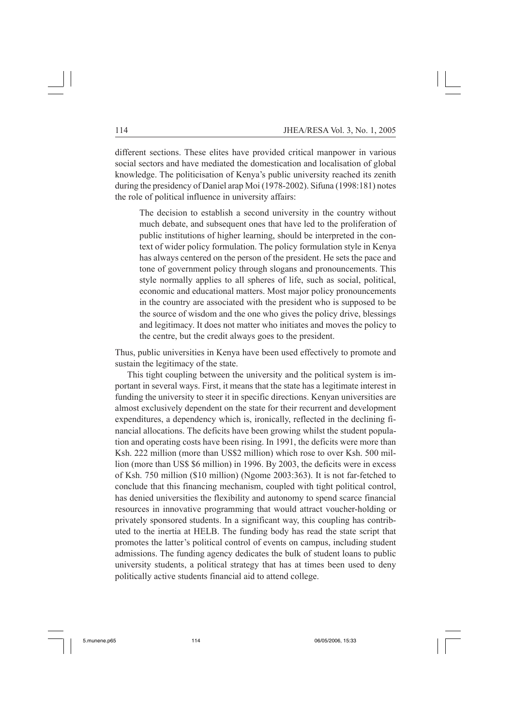different sections. These elites have provided critical manpower in various social sectors and have mediated the domestication and localisation of global knowledge. The politicisation of Kenya's public university reached its zenith during the presidency of Daniel arap Moi (1978-2002). Sifuna (1998:181) notes the role of political influence in university affairs:

The decision to establish a second university in the country without much debate, and subsequent ones that have led to the proliferation of public institutions of higher learning, should be interpreted in the context of wider policy formulation. The policy formulation style in Kenya has always centered on the person of the president. He sets the pace and tone of government policy through slogans and pronouncements. This style normally applies to all spheres of life, such as social, political, economic and educational matters. Most major policy pronouncements in the country are associated with the president who is supposed to be the source of wisdom and the one who gives the policy drive, blessings and legitimacy. It does not matter who initiates and moves the policy to the centre, but the credit always goes to the president.

Thus, public universities in Kenya have been used effectively to promote and sustain the legitimacy of the state.

This tight coupling between the university and the political system is important in several ways. First, it means that the state has a legitimate interest in funding the university to steer it in specific directions. Kenyan universities are almost exclusively dependent on the state for their recurrent and development expenditures, a dependency which is, ironically, reflected in the declining financial allocations. The deficits have been growing whilst the student population and operating costs have been rising. In 1991, the deficits were more than Ksh. 222 million (more than US\$2 million) which rose to over Ksh. 500 million (more than US\$ \$6 million) in 1996. By 2003, the deficits were in excess of Ksh. 750 million (\$10 million) (Ngome 2003:363). It is not far-fetched to conclude that this financing mechanism, coupled with tight political control, has denied universities the flexibility and autonomy to spend scarce financial resources in innovative programming that would attract voucher-holding or privately sponsored students. In a significant way, this coupling has contributed to the inertia at HELB. The funding body has read the state script that promotes the latter's political control of events on campus, including student admissions. The funding agency dedicates the bulk of student loans to public university students, a political strategy that has at times been used to deny politically active students financial aid to attend college.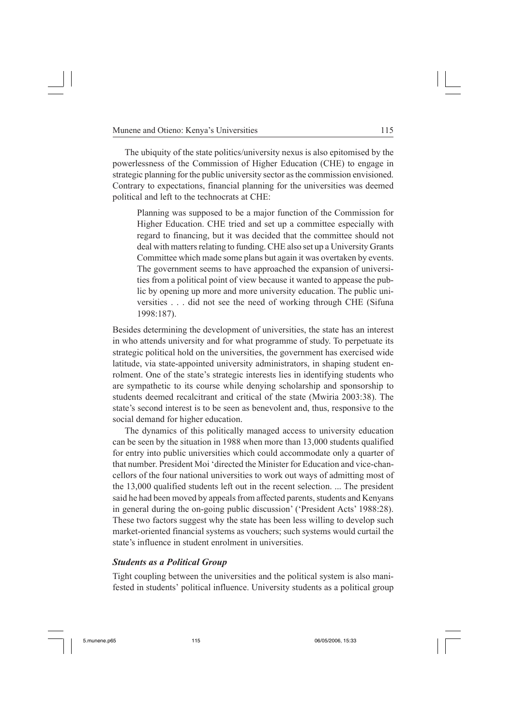The ubiquity of the state politics/university nexus is also epitomised by the powerlessness of the Commission of Higher Education (CHE) to engage in strategic planning for the public university sector as the commission envisioned. Contrary to expectations, financial planning for the universities was deemed political and left to the technocrats at CHE:

Planning was supposed to be a major function of the Commission for Higher Education. CHE tried and set up a committee especially with regard to financing, but it was decided that the committee should not deal with matters relating to funding. CHE also set up a University Grants Committee which made some plans but again it was overtaken by events. The government seems to have approached the expansion of universities from a political point of view because it wanted to appease the public by opening up more and more university education. The public universities . . . did not see the need of working through CHE (Sifuna 1998:187).

Besides determining the development of universities, the state has an interest in who attends university and for what programme of study. To perpetuate its strategic political hold on the universities, the government has exercised wide latitude, via state-appointed university administrators, in shaping student enrolment. One of the state's strategic interests lies in identifying students who are sympathetic to its course while denying scholarship and sponsorship to students deemed recalcitrant and critical of the state (Mwiria 2003:38). The state's second interest is to be seen as benevolent and, thus, responsive to the social demand for higher education.

The dynamics of this politically managed access to university education can be seen by the situation in 1988 when more than 13,000 students qualified for entry into public universities which could accommodate only a quarter of that number. President Moi 'directed the Minister for Education and vice-chancellors of the four national universities to work out ways of admitting most of the 13,000 qualified students left out in the recent selection. ... The president said he had been moved by appeals from affected parents, students and Kenyans in general during the on-going public discussion' ('President Acts' 1988:28). These two factors suggest why the state has been less willing to develop such market-oriented financial systems as vouchers; such systems would curtail the state's influence in student enrolment in universities.

## *Students as a Political Group*

Tight coupling between the universities and the political system is also manifested in students' political influence. University students as a political group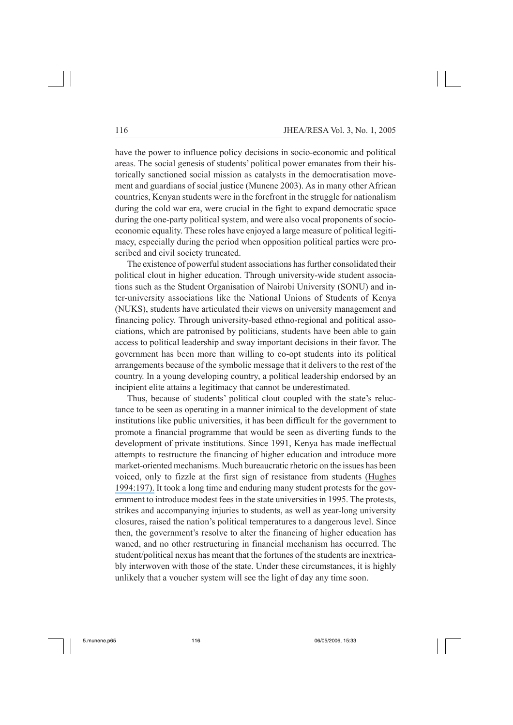have the power to influence policy decisions in socio-economic and political areas. The social genesis of students' political power emanates from their historically sanctioned social mission as catalysts in the democratisation movement and guardians of social justice (Munene 2003). As in many other African countries, Kenyan students were in the forefront in the struggle for nationalism during the cold war era, were crucial in the fight to expand democratic space during the one-party political system, and were also vocal proponents of socioeconomic equality. These roles have enjoyed a large measure of political legitimacy, especially during the period when opposition political parties were proscribed and civil society truncated.

The existence of powerful student associations has further consolidated their political clout in higher education. Through university-wide student associations such as the Student Organisation of Nairobi University (SONU) and inter-university associations like the National Unions of Students of Kenya (NUKS), students have articulated their views on university management and financing policy. Through university-based ethno-regional and political associations, which are patronised by politicians, students have been able to gain access to political leadership and sway important decisions in their favor. The government has been more than willing to co-opt students into its political arrangements because of the symbolic message that it delivers to the rest of the country. In a young developing country, a political leadership endorsed by an incipient elite attains a legitimacy that cannot be underestimated.

Thus, because of students' political clout coupled with the state's reluctance to be seen as operating in a manner inimical to the development of state institutions like public universities, it has been difficult for the government to promote a financial programme that would be seen as diverting funds to the development of private institutions. Since 1991, Kenya has made ineffectual attempts to restructure the financing of higher education and introduce more market-oriented mechanisms. Much bureaucratic rhetoric on the issues has been voiced, only to fizzle at the first sign of resistance from students [\(Hughes](https://www.researchgate.net/publication/44818746_Legitimation_Higher_Education_and_the_Post-colonial_State_A_comparative_study_of_India_and_Kenya?el=1_x_8&enrichId=rgreq-d593ec8a-99b5-4638-b08b-fd987663eb77&enrichSource=Y292ZXJQYWdlOzI0MTc1NzA2NTtBUzoyODk4ODc3NDkxOTc4MjZAMTQ0NjEyNjAzMzk0MA==) [1994:197\).](https://www.researchgate.net/publication/44818746_Legitimation_Higher_Education_and_the_Post-colonial_State_A_comparative_study_of_India_and_Kenya?el=1_x_8&enrichId=rgreq-d593ec8a-99b5-4638-b08b-fd987663eb77&enrichSource=Y292ZXJQYWdlOzI0MTc1NzA2NTtBUzoyODk4ODc3NDkxOTc4MjZAMTQ0NjEyNjAzMzk0MA==) It took a long time and enduring many student protests for the government to introduce modest fees in the state universities in 1995. The protests, strikes and accompanying injuries to students, as well as year-long university closures, raised the nation's political temperatures to a dangerous level. Since then, the government's resolve to alter the financing of higher education has waned, and no other restructuring in financial mechanism has occurred. The student/political nexus has meant that the fortunes of the students are inextricably interwoven with those of the state. Under these circumstances, it is highly unlikely that a voucher system will see the light of day any time soon.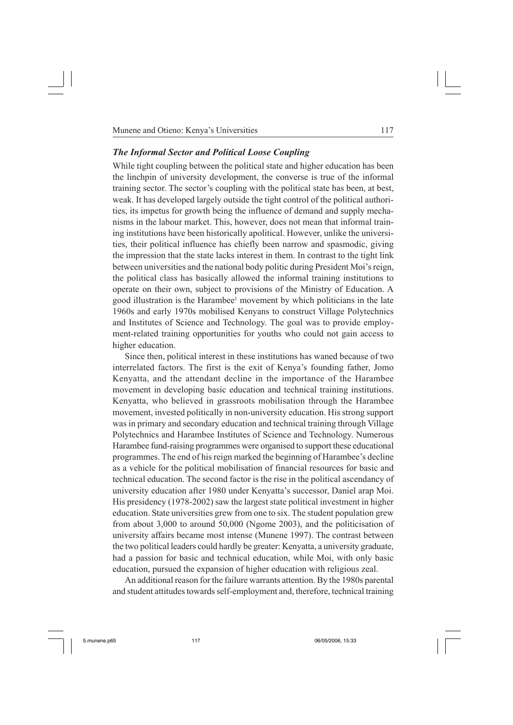Munene and Otieno: Kenya's Universities 117

## *The Informal Sector and Political Loose Coupling*

While tight coupling between the political state and higher education has been the linchpin of university development, the converse is true of the informal training sector. The sector's coupling with the political state has been, at best, weak. It has developed largely outside the tight control of the political authorities, its impetus for growth being the influence of demand and supply mechanisms in the labour market. This, however, does not mean that informal training institutions have been historically apolitical. However, unlike the universities, their political influence has chiefly been narrow and spasmodic, giving the impression that the state lacks interest in them. In contrast to the tight link between universities and the national body politic during President Moi's reign, the political class has basically allowed the informal training institutions to operate on their own, subject to provisions of the Ministry of Education. A good illustration is the Harambee<sup>1</sup> movement by which politicians in the late 1960s and early 1970s mobilised Kenyans to construct Village Polytechnics and Institutes of Science and Technology. The goal was to provide employment-related training opportunities for youths who could not gain access to higher education.

Since then, political interest in these institutions has waned because of two interrelated factors. The first is the exit of Kenya's founding father, Jomo Kenyatta, and the attendant decline in the importance of the Harambee movement in developing basic education and technical training institutions. Kenyatta, who believed in grassroots mobilisation through the Harambee movement, invested politically in non-university education. His strong support was in primary and secondary education and technical training through Village Polytechnics and Harambee Institutes of Science and Technology. Numerous Harambee fund-raising programmes were organised to support these educational programmes. The end of his reign marked the beginning of Harambee's decline as a vehicle for the political mobilisation of financial resources for basic and technical education. The second factor is the rise in the political ascendancy of university education after 1980 under Kenyatta's successor, Daniel arap Moi. His presidency (1978-2002) saw the largest state political investment in higher education. State universities grew from one to six. The student population grew from about 3,000 to around 50,000 (Ngome 2003), and the politicisation of university affairs became most intense (Munene 1997). The contrast between the two political leaders could hardly be greater: Kenyatta, a university graduate, had a passion for basic and technical education, while Moi, with only basic education, pursued the expansion of higher education with religious zeal.

An additional reason for the failure warrants attention. By the 1980s parental and student attitudes towards self-employment and, therefore, technical training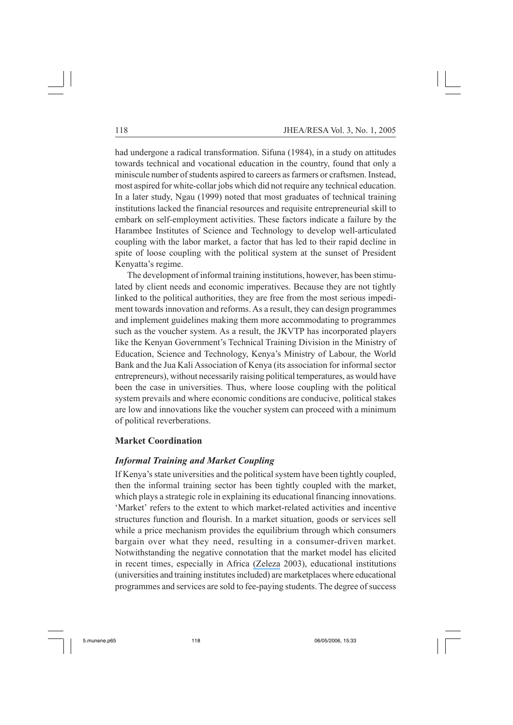had undergone a radical transformation. Sifuna (1984), in a study on attitudes towards technical and vocational education in the country, found that only a miniscule number of students aspired to careers as farmers or craftsmen. Instead, most aspired for white-collar jobs which did not require any technical education. In a later study, Ngau (1999) noted that most graduates of technical training institutions lacked the financial resources and requisite entrepreneurial skill to embark on self-employment activities. These factors indicate a failure by the Harambee Institutes of Science and Technology to develop well-articulated coupling with the labor market, a factor that has led to their rapid decline in spite of loose coupling with the political system at the sunset of President Kenyatta's regime.

The development of informal training institutions, however, has been stimulated by client needs and economic imperatives. Because they are not tightly linked to the political authorities, they are free from the most serious impediment towards innovation and reforms. As a result, they can design programmes and implement guidelines making them more accommodating to programmes such as the voucher system. As a result, the JKVTP has incorporated players like the Kenyan Government's Technical Training Division in the Ministry of Education, Science and Technology, Kenya's Ministry of Labour, the World Bank and the Jua Kali Association of Kenya (its association for informal sector entrepreneurs), without necessarily raising political temperatures, as would have been the case in universities. Thus, where loose coupling with the political system prevails and where economic conditions are conducive, political stakes are low and innovations like the voucher system can proceed with a minimum of political reverberations.

### **Market Coordination**

## *Informal Training and Market Coupling*

If Kenya's state universities and the political system have been tightly coupled, then the informal training sector has been tightly coupled with the market, which plays a strategic role in explaining its educational financing innovations. 'Market' refers to the extent to which market-related activities and incentive structures function and flourish. In a market situation, goods or services sell while a price mechanism provides the equilibrium through which consumers bargain over what they need, resulting in a consumer-driven market. Notwithstanding the negative connotation that the market model has elicited in recent times, especially in Africa [\(Zeleza](https://www.researchgate.net/publication/254383574_Academic_Freedom_in_the_Neo-Liberal_Order_Governments_Globalization_Governance_and_Gender?el=1_x_8&enrichId=rgreq-d593ec8a-99b5-4638-b08b-fd987663eb77&enrichSource=Y292ZXJQYWdlOzI0MTc1NzA2NTtBUzoyODk4ODc3NDkxOTc4MjZAMTQ0NjEyNjAzMzk0MA==) 2003), educational institutions (universities and training institutes included) are marketplaces where educational programmes and services are sold to fee-paying students. The degree of success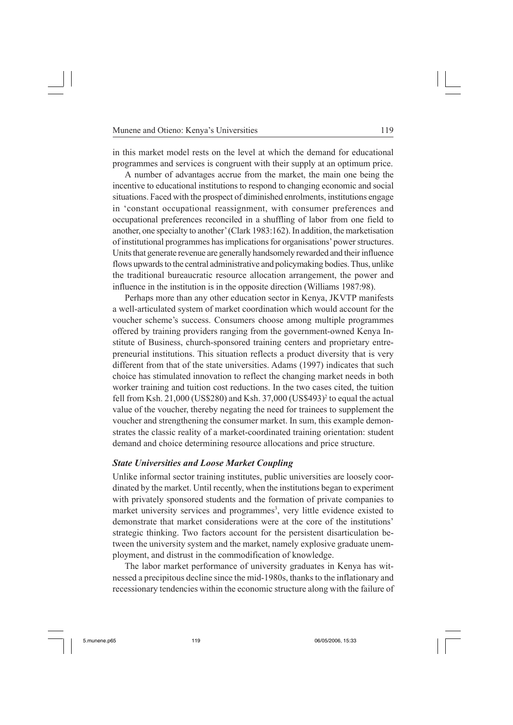in this market model rests on the level at which the demand for educational programmes and services is congruent with their supply at an optimum price.

A number of advantages accrue from the market, the main one being the incentive to educational institutions to respond to changing economic and social situations. Faced with the prospect of diminished enrolments, institutions engage in 'constant occupational reassignment, with consumer preferences and occupational preferences reconciled in a shuffling of labor from one field to another, one specialty to another' (Clark 1983:162). In addition, the marketisation of institutional programmes has implications for organisations' power structures. Units that generate revenue are generally handsomely rewarded and their influence flows upwards to the central administrative and policymaking bodies. Thus, unlike the traditional bureaucratic resource allocation arrangement, the power and influence in the institution is in the opposite direction (Williams 1987:98).

Perhaps more than any other education sector in Kenya, JKVTP manifests a well-articulated system of market coordination which would account for the voucher scheme's success. Consumers choose among multiple programmes offered by training providers ranging from the government-owned Kenya Institute of Business, church-sponsored training centers and proprietary entrepreneurial institutions. This situation reflects a product diversity that is very different from that of the state universities. Adams (1997) indicates that such choice has stimulated innovation to reflect the changing market needs in both worker training and tuition cost reductions. In the two cases cited, the tuition fell from Ksh.  $21,000$  (US\$280) and Ksh.  $37,000$  (US\$493)<sup>2</sup> to equal the actual value of the voucher, thereby negating the need for trainees to supplement the voucher and strengthening the consumer market. In sum, this example demonstrates the classic reality of a market-coordinated training orientation: student demand and choice determining resource allocations and price structure.

## *State Universities and Loose Market Coupling*

Unlike informal sector training institutes, public universities are loosely coordinated by the market. Until recently, when the institutions began to experiment with privately sponsored students and the formation of private companies to market university services and programmes<sup>3</sup>, very little evidence existed to demonstrate that market considerations were at the core of the institutions' strategic thinking. Two factors account for the persistent disarticulation between the university system and the market, namely explosive graduate unemployment, and distrust in the commodification of knowledge.

The labor market performance of university graduates in Kenya has witnessed a precipitous decline since the mid-1980s, thanks to the inflationary and recessionary tendencies within the economic structure along with the failure of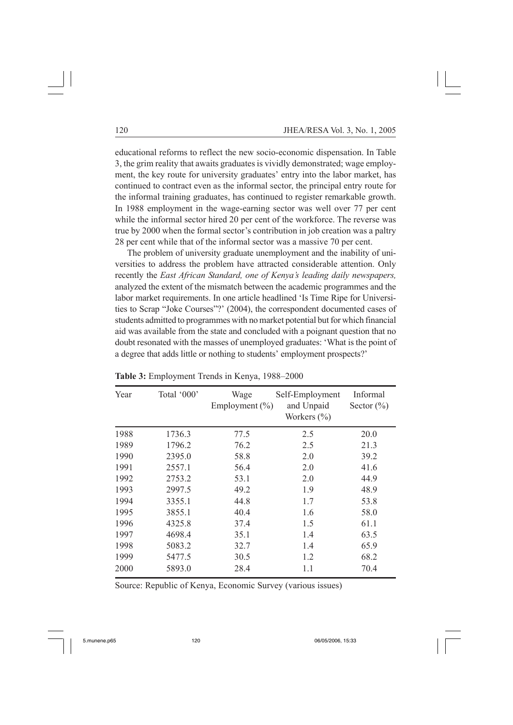educational reforms to reflect the new socio-economic dispensation. In Table 3, the grim reality that awaits graduates is vividly demonstrated; wage employment, the key route for university graduates' entry into the labor market, has continued to contract even as the informal sector, the principal entry route for the informal training graduates, has continued to register remarkable growth. In 1988 employment in the wage-earning sector was well over 77 per cent while the informal sector hired 20 per cent of the workforce. The reverse was true by 2000 when the formal sector's contribution in job creation was a paltry 28 per cent while that of the informal sector was a massive 70 per cent.

The problem of university graduate unemployment and the inability of universities to address the problem have attracted considerable attention. Only recently the *East African Standard, one of Kenya's leading daily newspapers,* analyzed the extent of the mismatch between the academic programmes and the labor market requirements. In one article headlined 'Is Time Ripe for Universities to Scrap "Joke Courses"?' (2004), the correspondent documented cases of students admitted to programmes with no market potential but for which financial aid was available from the state and concluded with a poignant question that no doubt resonated with the masses of unemployed graduates: 'What is the point of a degree that adds little or nothing to students' employment prospects?'

| Year | Total '000' | Wage<br>Employment $(\% )$ | Self-Employment<br>and Unpaid<br>Workers $(\% )$ | Informal<br>Sector $(\% )$ |
|------|-------------|----------------------------|--------------------------------------------------|----------------------------|
| 1988 | 1736.3      | 77.5                       | 2.5                                              | 20.0                       |
| 1989 | 1796.2      | 76.2                       | 2.5                                              | 21.3                       |
| 1990 | 2395.0      | 58.8                       | 2.0                                              | 39.2                       |
| 1991 | 2557.1      | 56.4                       | 2.0                                              | 41.6                       |
| 1992 | 2753.2      | 53.1                       | 2.0                                              | 44.9                       |
| 1993 | 2997.5      | 49.2                       | 1.9                                              | 48.9                       |
| 1994 | 3355.1      | 44.8                       | 1.7                                              | 53.8                       |
| 1995 | 3855.1      | 40.4                       | 1.6                                              | 58.0                       |
| 1996 | 4325.8      | 37.4                       | 1.5                                              | 61.1                       |
| 1997 | 4698.4      | 35.1                       | 1.4                                              | 63.5                       |
| 1998 | 5083.2      | 32.7                       | 1.4                                              | 65.9                       |
| 1999 | 5477.5      | 30.5                       | 1.2                                              | 68.2                       |
| 2000 | 5893.0      | 28.4                       | 1.1                                              | 70.4                       |

**Table 3:** Employment Trends in Kenya, 1988–2000

Source: Republic of Kenya, Economic Survey (various issues)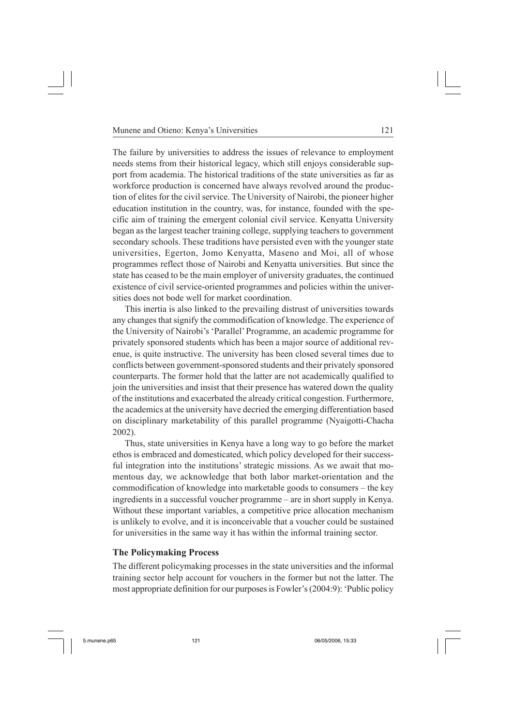The failure by universities to address the issues of relevance to employment needs stems from their historical legacy, which still enjoys considerable support from academia. The historical traditions of the state universities as far as workforce production is concerned have always revolved around the production of elites for the civil service. The University of Nairobi, the pioneer higher education institution in the country, was, for instance, founded with the specific aim of training the emergent colonial civil service. Kenyatta University began as the largest teacher training college, supplying teachers to government secondary schools. These traditions have persisted even with the younger state universities, Egerton, Jomo Kenyatta, Maseno and Moi, all of whose programmes reflect those of Nairobi and Kenyatta universities. But since the state has ceased to be the main employer of university graduates, the continued existence of civil service-oriented programmes and policies within the universities does not bode well for market coordination.

This inertia is also linked to the prevailing distrust of universities towards any changes that signify the commodification of knowledge. The experience of the University of Nairobi's 'Parallel' Programme, an academic programme for privately sponsored students which has been a major source of additional revenue, is quite instructive. The university has been closed several times due to conflicts between government-sponsored students and their privately sponsored counterparts. The former hold that the latter are not academically qualified to join the universities and insist that their presence has watered down the quality of the institutions and exacerbated the already critical congestion. Furthermore, the academics at the university have decried the emerging differentiation based on disciplinary marketability of this parallel programme (Nyaigotti-Chacha 2002).

Thus, state universities in Kenya have a long way to go before the market ethos is embraced and domesticated, which policy developed for their successful integration into the institutions' strategic missions. As we await that momentous day, we acknowledge that both labor market-orientation and the commodification of knowledge into marketable goods to consumers – the key ingredients in a successful voucher programme – are in short supply in Kenya. Without these important variables, a competitive price allocation mechanism is unlikely to evolve, and it is inconceivable that a voucher could be sustained for universities in the same way it has within the informal training sector.

## **The Policymaking Process**

The different policymaking processes in the state universities and the informal training sector help account for vouchers in the former but not the latter. The most appropriate definition for our purposes is Fowler's (2004:9): 'Public policy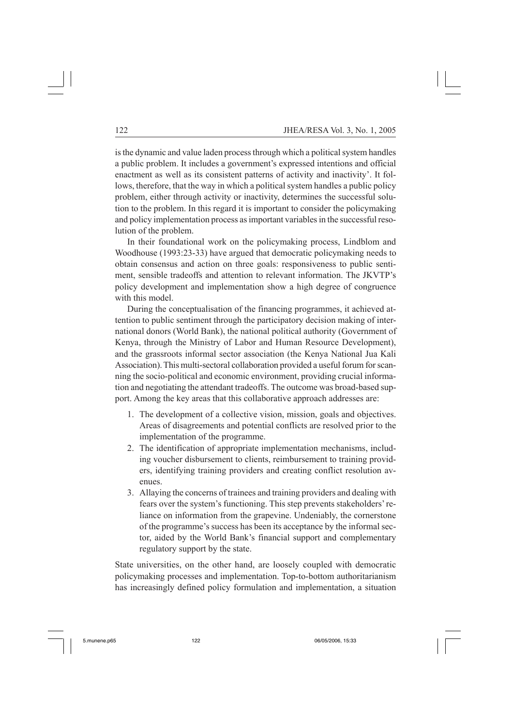is the dynamic and value laden process through which a political system handles a public problem. It includes a government's expressed intentions and official enactment as well as its consistent patterns of activity and inactivity'. It follows, therefore, that the way in which a political system handles a public policy problem, either through activity or inactivity, determines the successful solution to the problem. In this regard it is important to consider the policymaking and policy implementation process as important variables in the successful resolution of the problem.

In their foundational work on the policymaking process, Lindblom and Woodhouse (1993:23-33) have argued that democratic policymaking needs to obtain consensus and action on three goals: responsiveness to public sentiment, sensible tradeoffs and attention to relevant information. The JKVTP's policy development and implementation show a high degree of congruence with this model.

During the conceptualisation of the financing programmes, it achieved attention to public sentiment through the participatory decision making of international donors (World Bank), the national political authority (Government of Kenya, through the Ministry of Labor and Human Resource Development), and the grassroots informal sector association (the Kenya National Jua Kali Association). This multi-sectoral collaboration provided a useful forum for scanning the socio-political and economic environment, providing crucial information and negotiating the attendant tradeoffs. The outcome was broad-based support. Among the key areas that this collaborative approach addresses are:

- 1. The development of a collective vision, mission, goals and objectives. Areas of disagreements and potential conflicts are resolved prior to the implementation of the programme.
- 2. The identification of appropriate implementation mechanisms, including voucher disbursement to clients, reimbursement to training providers, identifying training providers and creating conflict resolution avenues.
- 3. Allaying the concerns of trainees and training providers and dealing with fears over the system's functioning. This step prevents stakeholders' reliance on information from the grapevine. Undeniably, the cornerstone of the programme's success has been its acceptance by the informal sector, aided by the World Bank's financial support and complementary regulatory support by the state.

State universities, on the other hand, are loosely coupled with democratic policymaking processes and implementation. Top-to-bottom authoritarianism has increasingly defined policy formulation and implementation, a situation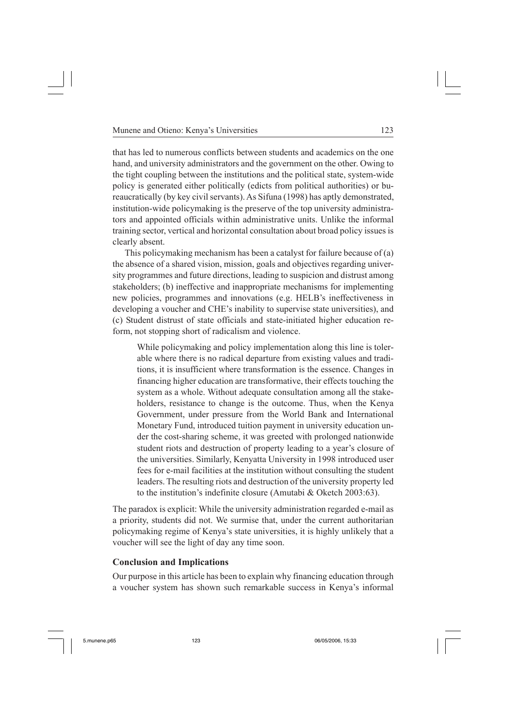that has led to numerous conflicts between students and academics on the one hand, and university administrators and the government on the other. Owing to the tight coupling between the institutions and the political state, system-wide policy is generated either politically (edicts from political authorities) or bureaucratically (by key civil servants). As Sifuna (1998) has aptly demonstrated, institution-wide policymaking is the preserve of the top university administrators and appointed officials within administrative units. Unlike the informal training sector, vertical and horizontal consultation about broad policy issues is clearly absent.

This policymaking mechanism has been a catalyst for failure because of (a) the absence of a shared vision, mission, goals and objectives regarding university programmes and future directions, leading to suspicion and distrust among stakeholders; (b) ineffective and inappropriate mechanisms for implementing new policies, programmes and innovations (e.g. HELB's ineffectiveness in developing a voucher and CHE's inability to supervise state universities), and (c) Student distrust of state officials and state-initiated higher education reform, not stopping short of radicalism and violence.

While policymaking and policy implementation along this line is tolerable where there is no radical departure from existing values and traditions, it is insufficient where transformation is the essence. Changes in financing higher education are transformative, their effects touching the system as a whole. Without adequate consultation among all the stakeholders, resistance to change is the outcome. Thus, when the Kenya Government, under pressure from the World Bank and International Monetary Fund, introduced tuition payment in university education under the cost-sharing scheme, it was greeted with prolonged nationwide student riots and destruction of property leading to a year's closure of the universities. Similarly, Kenyatta University in 1998 introduced user fees for e-mail facilities at the institution without consulting the student leaders. The resulting riots and destruction of the university property led to the institution's indefinite closure (Amutabi & Oketch 2003:63).

The paradox is explicit: While the university administration regarded e-mail as a priority, students did not. We surmise that, under the current authoritarian policymaking regime of Kenya's state universities, it is highly unlikely that a voucher will see the light of day any time soon.

#### **Conclusion and Implications**

Our purpose in this article has been to explain why financing education through a voucher system has shown such remarkable success in Kenya's informal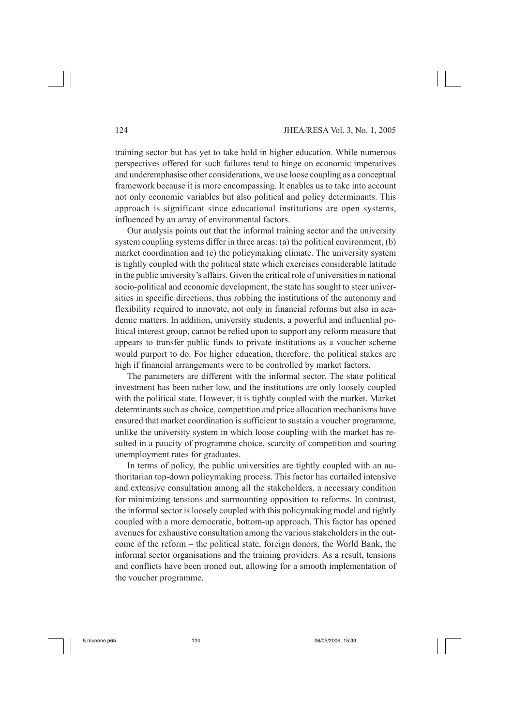training sector but has yet to take hold in higher education. While numerous perspectives offered for such failures tend to hinge on economic imperatives and underemphasise other considerations, we use loose coupling as a conceptual framework because it is more encompassing. It enables us to take into account not only economic variables but also political and policy determinants. This approach is significant since educational institutions are open systems, influenced by an array of environmental factors.

Our analysis points out that the informal training sector and the university system coupling systems differ in three areas: (a) the political environment, (b) market coordination and (c) the policymaking climate. The university system is tightly coupled with the political state which exercises considerable latitude in the public university's affairs. Given the critical role of universities in national socio-political and economic development, the state has sought to steer universities in specific directions, thus robbing the institutions of the autonomy and flexibility required to innovate, not only in financial reforms but also in academic matters. In addition, university students, a powerful and influential political interest group, cannot be relied upon to support any reform measure that appears to transfer public funds to private institutions as a voucher scheme would purport to do. For higher education, therefore, the political stakes are high if financial arrangements were to be controlled by market factors.

The parameters are different with the informal sector. The state political investment has been rather low, and the institutions are only loosely coupled with the political state. However, it is tightly coupled with the market. Market determinants such as choice, competition and price allocation mechanisms have ensured that market coordination is sufficient to sustain a voucher programme, unlike the university system in which loose coupling with the market has resulted in a paucity of programme choice, scarcity of competition and soaring unemployment rates for graduates.

In terms of policy, the public universities are tightly coupled with an authoritarian top-down policymaking process. This factor has curtailed intensive and extensive consultation among all the stakeholders, a necessary condition for minimizing tensions and surmounting opposition to reforms. In contrast, the informal sector is loosely coupled with this policymaking model and tightly coupled with a more democratic, bottom-up approach. This factor has opened avenues for exhaustive consultation among the various stakeholders in the outcome of the reform – the political state, foreign donors, the World Bank, the informal sector organisations and the training providers. As a result, tensions and conflicts have been ironed out, allowing for a smooth implementation of the voucher programme.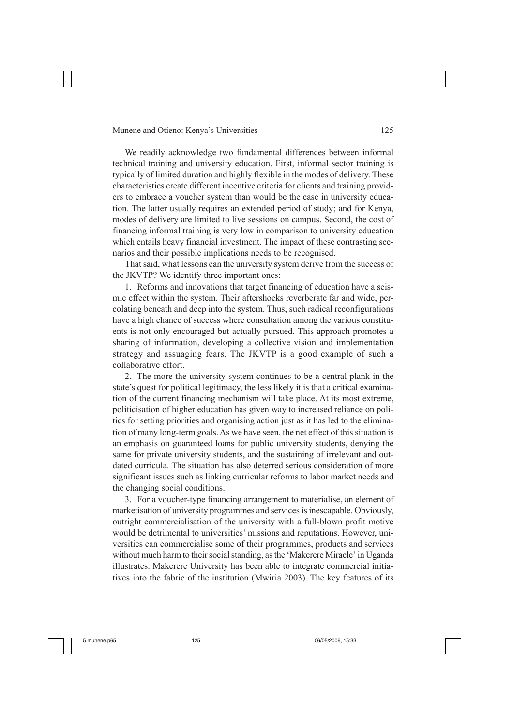We readily acknowledge two fundamental differences between informal technical training and university education. First, informal sector training is typically of limited duration and highly flexible in the modes of delivery. These characteristics create different incentive criteria for clients and training providers to embrace a voucher system than would be the case in university education. The latter usually requires an extended period of study; and for Kenya, modes of delivery are limited to live sessions on campus. Second, the cost of financing informal training is very low in comparison to university education which entails heavy financial investment. The impact of these contrasting scenarios and their possible implications needs to be recognised.

That said, what lessons can the university system derive from the success of the JKVTP? We identify three important ones:

1. Reforms and innovations that target financing of education have a seismic effect within the system. Their aftershocks reverberate far and wide, percolating beneath and deep into the system. Thus, such radical reconfigurations have a high chance of success where consultation among the various constituents is not only encouraged but actually pursued. This approach promotes a sharing of information, developing a collective vision and implementation strategy and assuaging fears. The JKVTP is a good example of such a collaborative effort.

2. The more the university system continues to be a central plank in the state's quest for political legitimacy, the less likely it is that a critical examination of the current financing mechanism will take place. At its most extreme, politicisation of higher education has given way to increased reliance on politics for setting priorities and organising action just as it has led to the elimination of many long-term goals. As we have seen, the net effect of this situation is an emphasis on guaranteed loans for public university students, denying the same for private university students, and the sustaining of irrelevant and outdated curricula. The situation has also deterred serious consideration of more significant issues such as linking curricular reforms to labor market needs and the changing social conditions.

3. For a voucher-type financing arrangement to materialise, an element of marketisation of university programmes and services is inescapable. Obviously, outright commercialisation of the university with a full-blown profit motive would be detrimental to universities' missions and reputations. However, universities can commercialise some of their programmes, products and services without much harm to their social standing, as the 'Makerere Miracle' in Uganda illustrates. Makerere University has been able to integrate commercial initiatives into the fabric of the institution (Mwiria 2003). The key features of its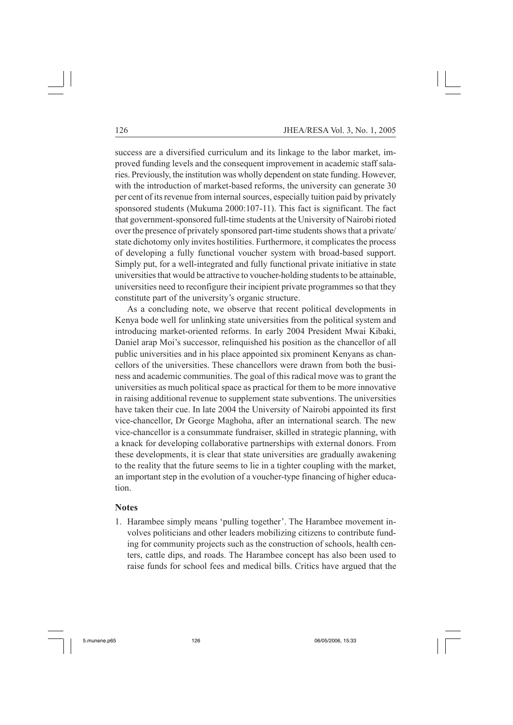success are a diversified curriculum and its linkage to the labor market, improved funding levels and the consequent improvement in academic staff salaries. Previously, the institution was wholly dependent on state funding. However, with the introduction of market-based reforms, the university can generate 30 per cent of its revenue from internal sources, especially tuition paid by privately sponsored students (Mukuma 2000:107-11). This fact is significant. The fact that government-sponsored full-time students at the University of Nairobi rioted over the presence of privately sponsored part-time students shows that a private/ state dichotomy only invites hostilities. Furthermore, it complicates the process of developing a fully functional voucher system with broad-based support. Simply put, for a well-integrated and fully functional private initiative in state universities that would be attractive to voucher-holding students to be attainable, universities need to reconfigure their incipient private programmes so that they constitute part of the university's organic structure.

As a concluding note, we observe that recent political developments in Kenya bode well for unlinking state universities from the political system and introducing market-oriented reforms. In early 2004 President Mwai Kibaki, Daniel arap Moi's successor, relinquished his position as the chancellor of all public universities and in his place appointed six prominent Kenyans as chancellors of the universities. These chancellors were drawn from both the business and academic communities. The goal of this radical move was to grant the universities as much political space as practical for them to be more innovative in raising additional revenue to supplement state subventions. The universities have taken their cue. In late 2004 the University of Nairobi appointed its first vice-chancellor, Dr George Maghoha, after an international search. The new vice-chancellor is a consummate fundraiser, skilled in strategic planning, with a knack for developing collaborative partnerships with external donors. From these developments, it is clear that state universities are gradually awakening to the reality that the future seems to lie in a tighter coupling with the market, an important step in the evolution of a voucher-type financing of higher education.

#### **Notes**

1. Harambee simply means 'pulling together'. The Harambee movement involves politicians and other leaders mobilizing citizens to contribute funding for community projects such as the construction of schools, health centers, cattle dips, and roads. The Harambee concept has also been used to raise funds for school fees and medical bills. Critics have argued that the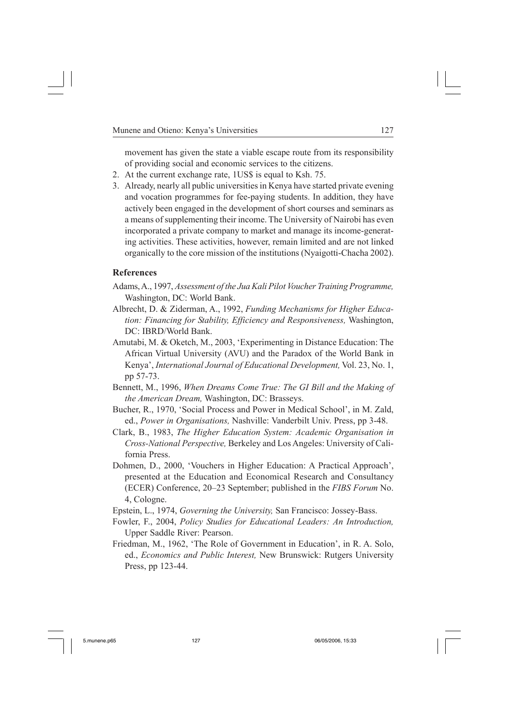movement has given the state a viable escape route from its responsibility of providing social and economic services to the citizens.

- 2. At the current exchange rate, 1US\$ is equal to Ksh. 75.
- 3. Already, nearly all public universities in Kenya have started private evening and vocation programmes for fee-paying students. In addition, they have actively been engaged in the development of short courses and seminars as a means of supplementing their income. The University of Nairobi has even incorporated a private company to market and manage its income-generating activities. These activities, however, remain limited and are not linked organically to the core mission of the institutions (Nyaigotti-Chacha 2002).

#### **References**

- Adams, A., 1997, *Assessment of the Jua Kali Pilot Voucher Training Programme,* Washington, DC: World Bank.
- Albrecht, D. & Ziderman, A., 1992, *Funding Mechanisms for Higher Education: Financing for Stability, Efficiency and Responsiveness,* Washington, DC: IBRD/World Bank.
- Amutabi, M. & Oketch, M., 2003, 'Experimenting in Distance Education: The African Virtual University (AVU) and the Paradox of the World Bank in Kenya', *International Journal of Educational Development,* Vol. 23, No. 1, pp 57-73.
- Bennett, M., 1996, *When Dreams Come True: The GI Bill and the Making of the American Dream,* Washington, DC: Brasseys.
- Bucher, R., 1970, 'Social Process and Power in Medical School', in M. Zald, ed., *Power in Organisations,* Nashville: Vanderbilt Univ. Press, pp 3-48.
- Clark, B., 1983, *The Higher Education System: Academic Organisation in Cross-National Perspective,* Berkeley and Los Angeles: University of California Press.
- Dohmen, D., 2000, 'Vouchers in Higher Education: A Practical Approach', presented at the Education and Economical Research and Consultancy (ECER) Conference, 20–23 September; published in the *FIBS Forum* No. 4, Cologne.
- Epstein, L., 1974, *Governing the University,* San Francisco: Jossey-Bass.
- Fowler, F., 2004, *Policy Studies for Educational Leaders: An Introduction,* Upper Saddle River: Pearson.
- Friedman, M., 1962, 'The Role of Government in Education', in R. A. Solo, ed., *Economics and Public Interest,* New Brunswick: Rutgers University Press, pp 123-44.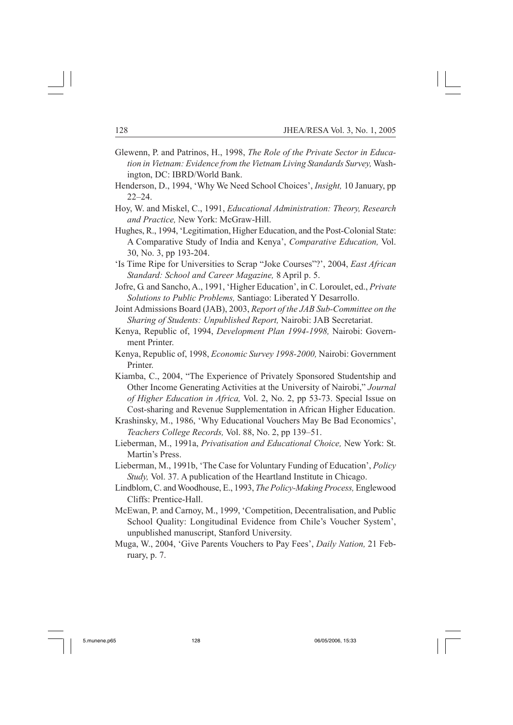- Glewenn, P. and Patrinos, H., 1998, *The Role of the Private Sector in Education in Vietnam: Evidence from the Vietnam Living Standards Survey,* Washington, DC: IBRD/World Bank.
- Henderson, D., 1994, 'Why We Need School Choices', *Insight,* 10 January, pp 22–24.
- Hoy, W. and Miskel, C., 1991, *Educational Administration: Theory, Research and Practice,* New York: McGraw-Hill.
- Hughes, R., 1994, 'Legitimation, Higher Education, and the Post-Colonial State: A Comparative Study of India and Kenya', *Comparative Education,* Vol. 30, No. 3, pp 193-204.
- 'Is Time Ripe for Universities to Scrap "Joke Courses"?', 2004, *East African Standard: School and Career Magazine,* 8 April p. 5.
- Jofre, G. and Sancho, A., 1991, 'Higher Education', in C. Loroulet, ed., *Private Solutions to Public Problems,* Santiago: Liberated Y Desarrollo.
- Joint Admissions Board (JAB), 2003, *Report of the JAB Sub-Committee on the Sharing of Students: Unpublished Report,* Nairobi: JAB Secretariat.
- Kenya, Republic of, 1994, *Development Plan 1994-1998,* Nairobi: Government Printer.
- Kenya, Republic of, 1998, *Economic Survey 1998-2000,* Nairobi: Government Printer.
- Kiamba, C., 2004, "The Experience of Privately Sponsored Studentship and Other Income Generating Activities at the University of Nairobi," *Journal of Higher Education in Africa,* Vol. 2, No. 2, pp 53-73. Special Issue on Cost-sharing and Revenue Supplementation in African Higher Education.
- Krashinsky, M., 1986, 'Why Educational Vouchers May Be Bad Economics', *Teachers College Records,* Vol. 88, No. 2, pp 139–51.
- Lieberman, M., 1991a, *Privatisation and Educational Choice,* New York: St. Martin's Press.
- Lieberman, M., 1991b, 'The Case for Voluntary Funding of Education', *Policy Study,* Vol. 37. A publication of the Heartland Institute in Chicago.
- Lindblom, C. and Woodhouse, E., 1993, *The Policy-Making Process,* Englewood Cliffs: Prentice-Hall.
- McEwan, P. and Carnoy, M., 1999, 'Competition, Decentralisation, and Public School Quality: Longitudinal Evidence from Chile's Voucher System', unpublished manuscript, Stanford University.
- Muga, W., 2004, 'Give Parents Vouchers to Pay Fees', *Daily Nation,* 21 February, p. 7.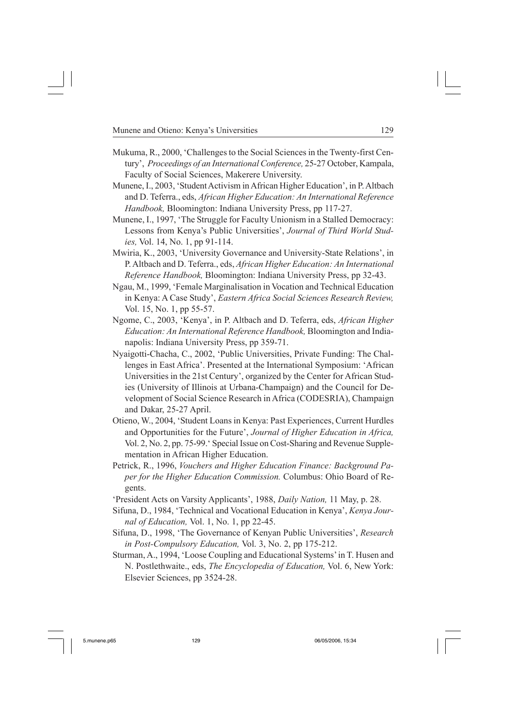- Mukuma, R., 2000, 'Challenges to the Social Sciences in the Twenty-first Century', *Proceedings of an International Conference,* 25-27 October, Kampala, Faculty of Social Sciences, Makerere University.
- Munene, I., 2003, 'Student Activism in African Higher Education', in P. Altbach and D. Teferra., eds, *African Higher Education: An International Reference Handbook,* Bloomington: Indiana University Press, pp 117-27.
- Munene, I., 1997, 'The Struggle for Faculty Unionism in a Stalled Democracy: Lessons from Kenya's Public Universities', *Journal of Third World Studies,* Vol. 14, No. 1, pp 91-114.
- Mwiria, K., 2003, 'University Governance and University-State Relations', in P. Altbach and D. Teferra., eds, *African Higher Education: An International Reference Handbook,* Bloomington: Indiana University Press, pp 32-43.
- Ngau, M., 1999, 'Female Marginalisation in Vocation and Technical Education in Kenya: A Case Study', *Eastern Africa Social Sciences Research Review,* Vol. 15, No. 1, pp 55-57.
- Ngome, C., 2003, 'Kenya', in P. Altbach and D. Teferra, eds, *African Higher Education: An International Reference Handbook,* Bloomington and Indianapolis: Indiana University Press, pp 359-71.
- Nyaigotti-Chacha, C., 2002, 'Public Universities, Private Funding: The Challenges in East Africa'. Presented at the International Symposium: 'African Universities in the 21st Century', organized by the Center for African Studies (University of Illinois at Urbana-Champaign) and the Council for Development of Social Science Research in Africa (CODESRIA), Champaign and Dakar, 25-27 April.
- Otieno, W., 2004, 'Student Loans in Kenya: Past Experiences, Current Hurdles and Opportunities for the Future', *Journal of Higher Education in Africa,* Vol. 2, No. 2, pp. 75-99.' Special Issue on Cost-Sharing and Revenue Supplementation in African Higher Education.
- Petrick, R., 1996, *Vouchers and Higher Education Finance: Background Paper for the Higher Education Commission.* Columbus: Ohio Board of Regents.
- 'President Acts on Varsity Applicants', 1988, *Daily Nation,* 11 May, p. 28.
- Sifuna, D., 1984, 'Technical and Vocational Education in Kenya', *Kenya Journal of Education,* Vol. 1, No. 1, pp 22-45.
- Sifuna, D., 1998, 'The Governance of Kenyan Public Universities', *Research in Post-Compulsory Education,* Vol. 3, No. 2, pp 175-212.
- Sturman, A., 1994, 'Loose Coupling and Educational Systems' in T. Husen and N. Postlethwaite., eds, *The Encyclopedia of Education,* Vol. 6, New York: Elsevier Sciences, pp 3524-28.